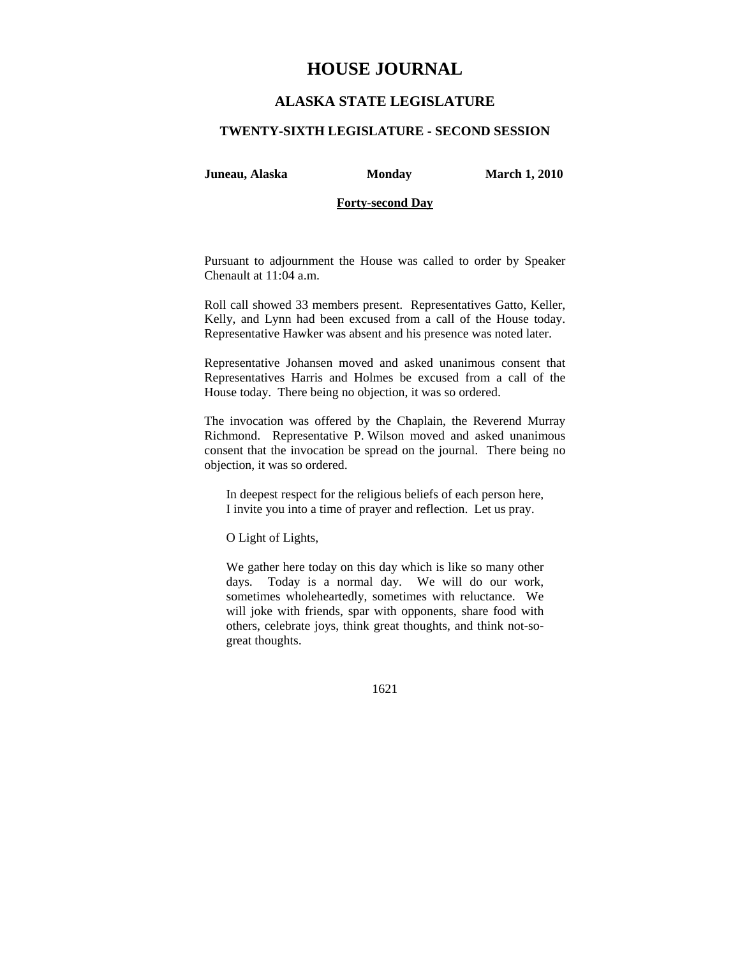# **HOUSE JOURNAL**

## **ALASKA STATE LEGISLATURE**

#### **TWENTY-SIXTH LEGISLATURE - SECOND SESSION**

**Juneau, Alaska Monday March 1, 2010** 

### **Forty-second Day**

Pursuant to adjournment the House was called to order by Speaker Chenault at 11:04 a.m.

Roll call showed 33 members present. Representatives Gatto, Keller, Kelly, and Lynn had been excused from a call of the House today. Representative Hawker was absent and his presence was noted later.

Representative Johansen moved and asked unanimous consent that Representatives Harris and Holmes be excused from a call of the House today. There being no objection, it was so ordered.

The invocation was offered by the Chaplain, the Reverend Murray Richmond. Representative P. Wilson moved and asked unanimous consent that the invocation be spread on the journal. There being no objection, it was so ordered.

In deepest respect for the religious beliefs of each person here, I invite you into a time of prayer and reflection. Let us pray.

O Light of Lights,

We gather here today on this day which is like so many other days. Today is a normal day. We will do our work, sometimes wholeheartedly, sometimes with reluctance. We will joke with friends, spar with opponents, share food with others, celebrate joys, think great thoughts, and think not-sogreat thoughts.

1621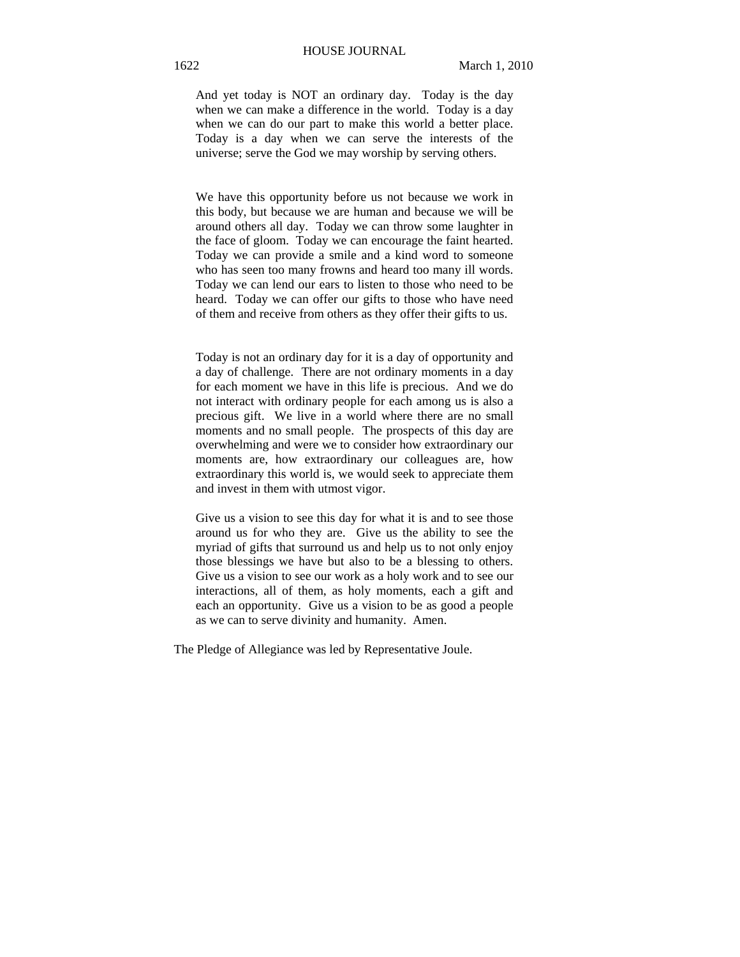And yet today is NOT an ordinary day. Today is the day when we can make a difference in the world. Today is a day when we can do our part to make this world a better place. Today is a day when we can serve the interests of the universe; serve the God we may worship by serving others.

We have this opportunity before us not because we work in this body, but because we are human and because we will be around others all day. Today we can throw some laughter in the face of gloom. Today we can encourage the faint hearted. Today we can provide a smile and a kind word to someone who has seen too many frowns and heard too many ill words. Today we can lend our ears to listen to those who need to be heard. Today we can offer our gifts to those who have need of them and receive from others as they offer their gifts to us.

Today is not an ordinary day for it is a day of opportunity and a day of challenge. There are not ordinary moments in a day for each moment we have in this life is precious. And we do not interact with ordinary people for each among us is also a precious gift. We live in a world where there are no small moments and no small people. The prospects of this day are overwhelming and were we to consider how extraordinary our moments are, how extraordinary our colleagues are, how extraordinary this world is, we would seek to appreciate them and invest in them with utmost vigor.

Give us a vision to see this day for what it is and to see those around us for who they are. Give us the ability to see the myriad of gifts that surround us and help us to not only enjoy those blessings we have but also to be a blessing to others. Give us a vision to see our work as a holy work and to see our interactions, all of them, as holy moments, each a gift and each an opportunity. Give us a vision to be as good a people as we can to serve divinity and humanity. Amen.

The Pledge of Allegiance was led by Representative Joule.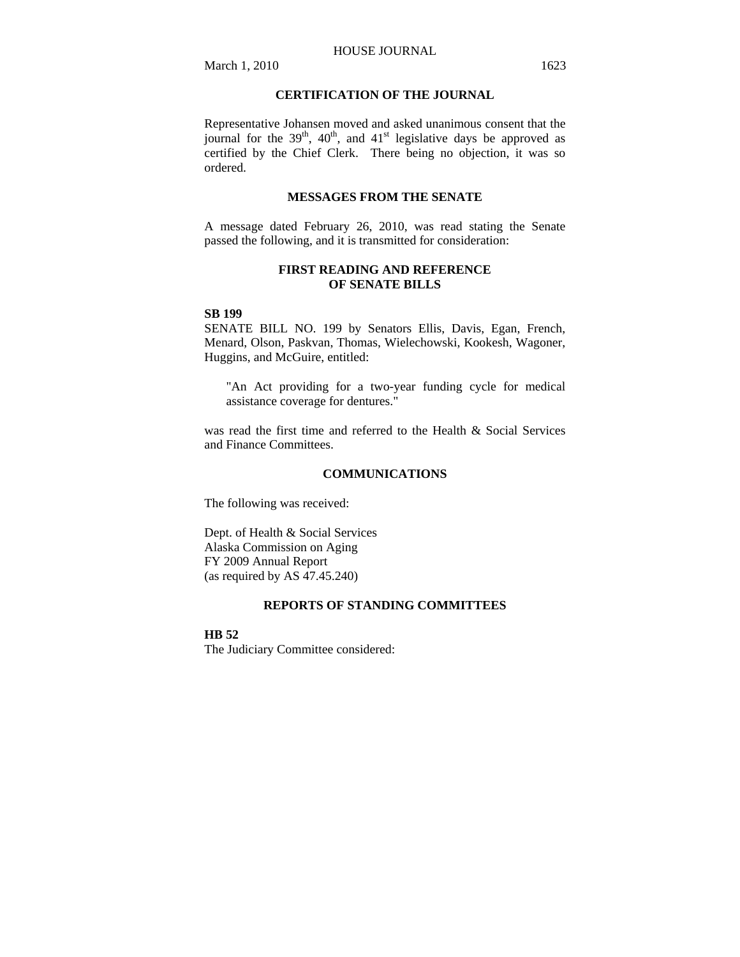## **CERTIFICATION OF THE JOURNAL**

Representative Johansen moved and asked unanimous consent that the journal for the  $39<sup>th</sup>$ ,  $40<sup>th</sup>$ , and  $41<sup>st</sup>$  legislative days be approved as certified by the Chief Clerk. There being no objection, it was so ordered.

## **MESSAGES FROM THE SENATE**

A message dated February 26, 2010, was read stating the Senate passed the following, and it is transmitted for consideration:

## **FIRST READING AND REFERENCE OF SENATE BILLS**

#### **SB 199**

SENATE BILL NO. 199 by Senators Ellis, Davis, Egan, French, Menard, Olson, Paskvan, Thomas, Wielechowski, Kookesh, Wagoner, Huggins, and McGuire, entitled:

"An Act providing for a two-year funding cycle for medical assistance coverage for dentures."

was read the first time and referred to the Health & Social Services and Finance Committees.

### **COMMUNICATIONS**

The following was received:

Dept. of Health & Social Services Alaska Commission on Aging FY 2009 Annual Report (as required by AS 47.45.240)

### **REPORTS OF STANDING COMMITTEES**

**HB 52**

The Judiciary Committee considered: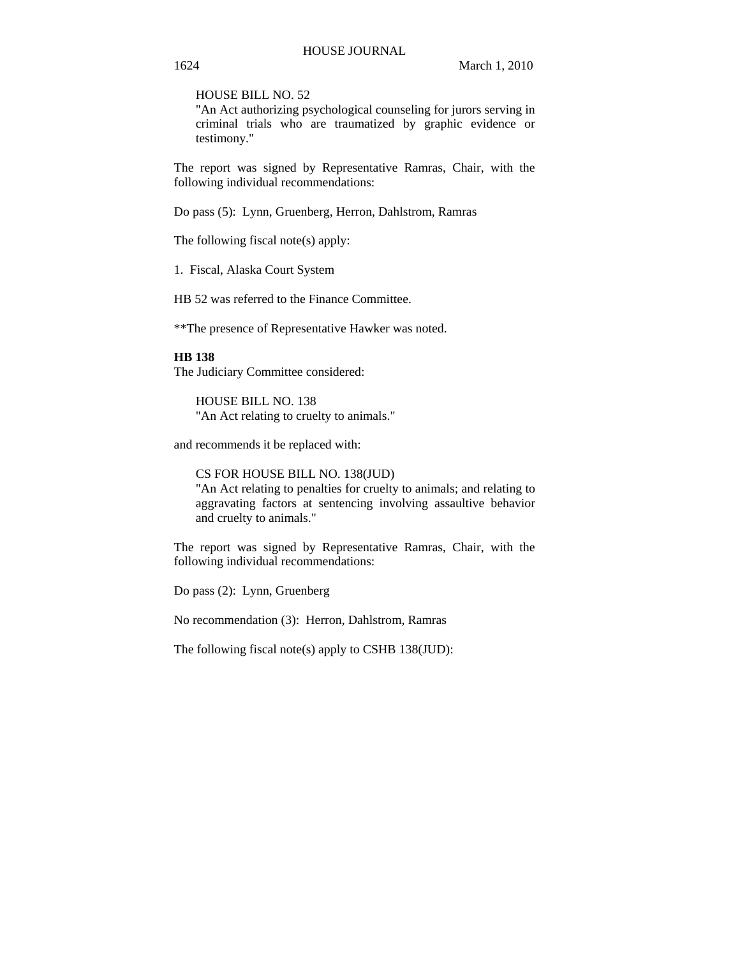HOUSE BILL NO. 52

"An Act authorizing psychological counseling for jurors serving in criminal trials who are traumatized by graphic evidence or testimony."

The report was signed by Representative Ramras, Chair, with the following individual recommendations:

Do pass (5): Lynn, Gruenberg, Herron, Dahlstrom, Ramras

The following fiscal note(s) apply:

1. Fiscal, Alaska Court System

HB 52 was referred to the Finance Committee.

\*\*The presence of Representative Hawker was noted.

#### **HB 138**

The Judiciary Committee considered:

HOUSE BILL NO. 138 "An Act relating to cruelty to animals."

and recommends it be replaced with:

CS FOR HOUSE BILL NO. 138(JUD)

"An Act relating to penalties for cruelty to animals; and relating to aggravating factors at sentencing involving assaultive behavior and cruelty to animals."

The report was signed by Representative Ramras, Chair, with the following individual recommendations:

Do pass (2): Lynn, Gruenberg

No recommendation (3): Herron, Dahlstrom, Ramras

The following fiscal note(s) apply to CSHB 138(JUD):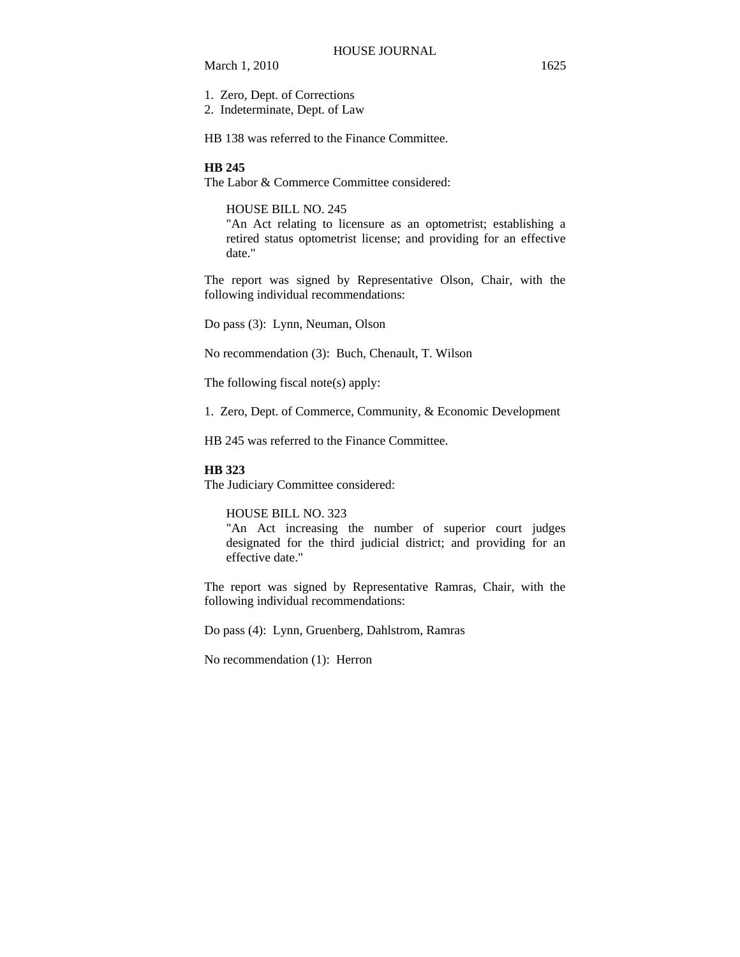1. Zero, Dept. of Corrections

2. Indeterminate, Dept. of Law

HB 138 was referred to the Finance Committee.

### **HB 245**

The Labor & Commerce Committee considered:

HOUSE BILL NO. 245

"An Act relating to licensure as an optometrist; establishing a retired status optometrist license; and providing for an effective date."

The report was signed by Representative Olson, Chair, with the following individual recommendations:

Do pass (3): Lynn, Neuman, Olson

No recommendation (3): Buch, Chenault, T. Wilson

The following fiscal note(s) apply:

1. Zero, Dept. of Commerce, Community, & Economic Development

HB 245 was referred to the Finance Committee.

#### **HB 323**

The Judiciary Committee considered:

#### HOUSE BILL NO. 323

"An Act increasing the number of superior court judges designated for the third judicial district; and providing for an effective date."

The report was signed by Representative Ramras, Chair, with the following individual recommendations:

Do pass (4): Lynn, Gruenberg, Dahlstrom, Ramras

No recommendation (1): Herron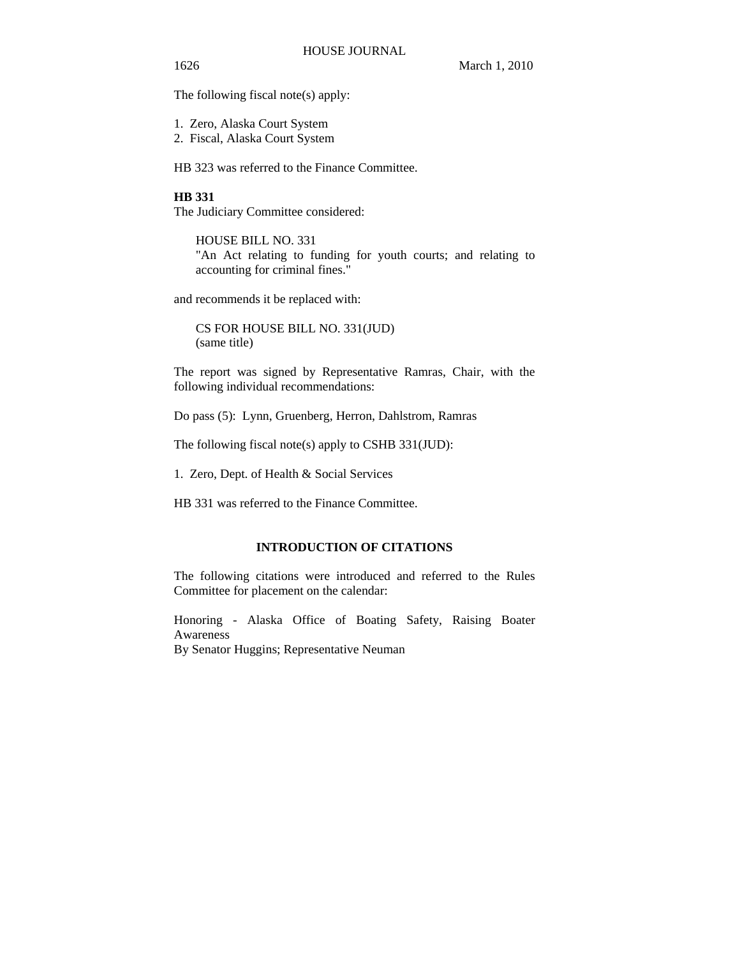1626 March 1, 2010

The following fiscal note(s) apply:

1. Zero, Alaska Court System

2. Fiscal, Alaska Court System

HB 323 was referred to the Finance Committee.

#### **HB 331**

The Judiciary Committee considered:

HOUSE BILL NO. 331 "An Act relating to funding for youth courts; and relating to accounting for criminal fines."

and recommends it be replaced with:

CS FOR HOUSE BILL NO. 331(JUD) (same title)

The report was signed by Representative Ramras, Chair, with the following individual recommendations:

Do pass (5): Lynn, Gruenberg, Herron, Dahlstrom, Ramras

The following fiscal note(s) apply to CSHB 331(JUD):

1. Zero, Dept. of Health & Social Services

HB 331 was referred to the Finance Committee.

## **INTRODUCTION OF CITATIONS**

The following citations were introduced and referred to the Rules Committee for placement on the calendar:

Honoring - Alaska Office of Boating Safety, Raising Boater Awareness

By Senator Huggins; Representative Neuman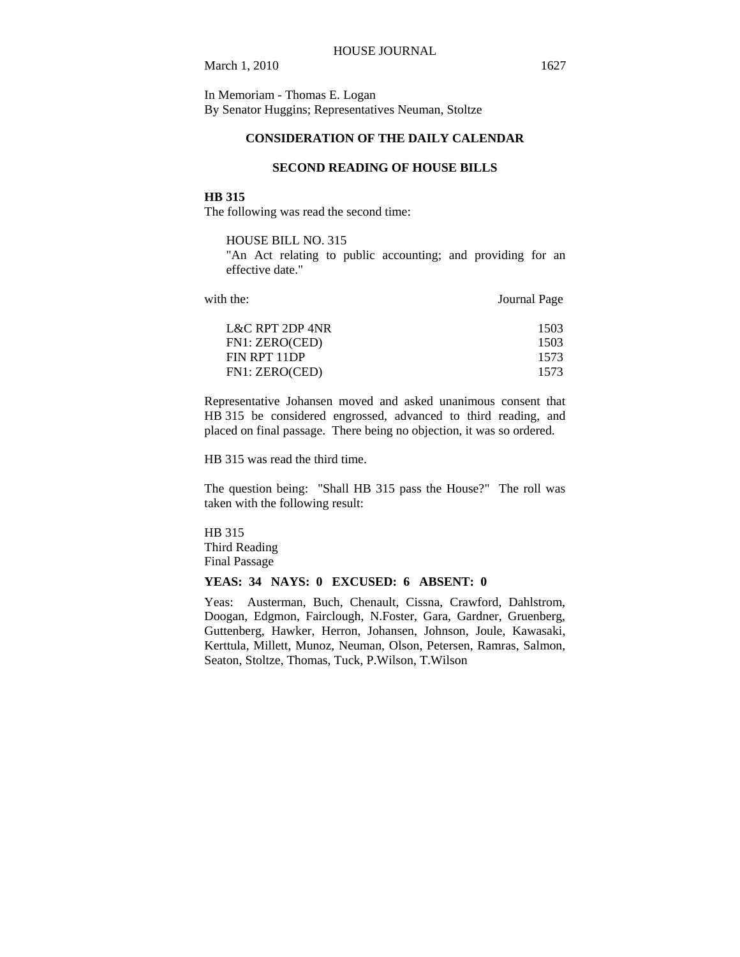In Memoriam - Thomas E. Logan By Senator Huggins; Representatives Neuman, Stoltze

## **CONSIDERATION OF THE DAILY CALENDAR**

## **SECOND READING OF HOUSE BILLS**

#### **HB 315**

The following was read the second time:

### HOUSE BILL NO. 315

"An Act relating to public accounting; and providing for an effective date."

with the: **Journal Page** 

| 1503 |
|------|
| 1503 |
| 1573 |
| 1573 |
|      |

Representative Johansen moved and asked unanimous consent that HB 315 be considered engrossed, advanced to third reading, and placed on final passage. There being no objection, it was so ordered.

HB 315 was read the third time.

The question being: "Shall HB 315 pass the House?" The roll was taken with the following result:

HB 315 Third Reading Final Passage

### **YEAS: 34 NAYS: 0 EXCUSED: 6 ABSENT: 0**

Yeas: Austerman, Buch, Chenault, Cissna, Crawford, Dahlstrom, Doogan, Edgmon, Fairclough, N.Foster, Gara, Gardner, Gruenberg, Guttenberg, Hawker, Herron, Johansen, Johnson, Joule, Kawasaki, Kerttula, Millett, Munoz, Neuman, Olson, Petersen, Ramras, Salmon, Seaton, Stoltze, Thomas, Tuck, P.Wilson, T.Wilson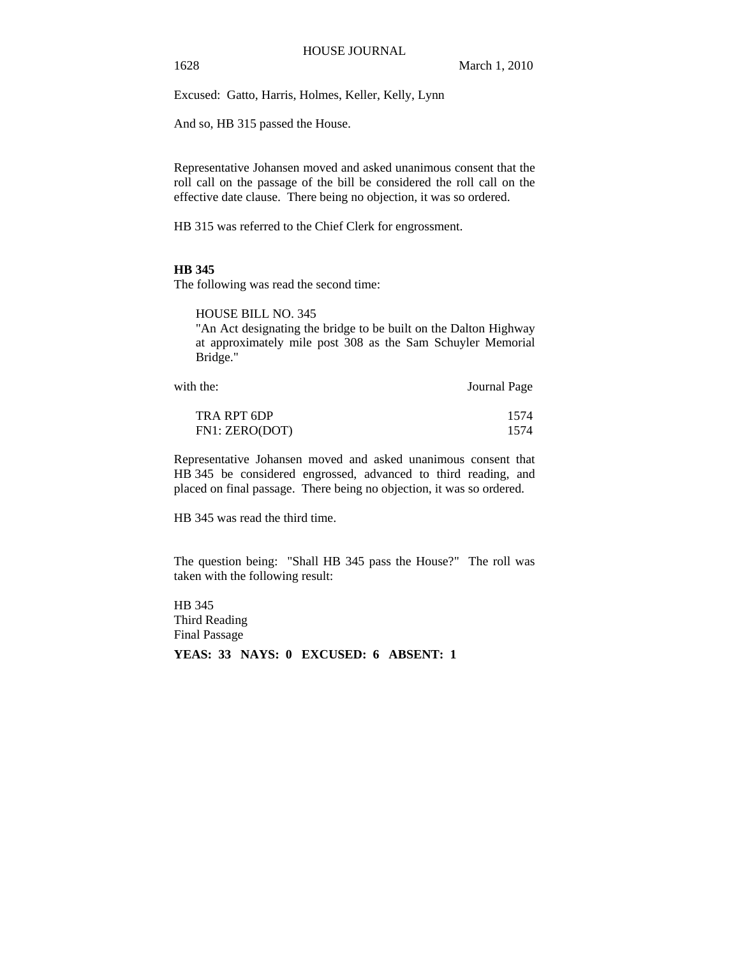Excused: Gatto, Harris, Holmes, Keller, Kelly, Lynn

And so, HB 315 passed the House.

Representative Johansen moved and asked unanimous consent that the roll call on the passage of the bill be considered the roll call on the effective date clause. There being no objection, it was so ordered.

HB 315 was referred to the Chief Clerk for engrossment.

## **HB 345**

The following was read the second time:

HOUSE BILL NO. 345

"An Act designating the bridge to be built on the Dalton Highway at approximately mile post 308 as the Sam Schuyler Memorial Bridge."

| with the:      | Journal Page |
|----------------|--------------|
| TRA RPT 6DP    | 1574         |
| FN1: ZERO(DOT) | 1574         |

Representative Johansen moved and asked unanimous consent that HB 345 be considered engrossed, advanced to third reading, and placed on final passage. There being no objection, it was so ordered.

HB 345 was read the third time.

The question being: "Shall HB 345 pass the House?" The roll was taken with the following result:

HB 345 Third Reading Final Passage **YEAS: 33 NAYS: 0 EXCUSED: 6 ABSENT: 1**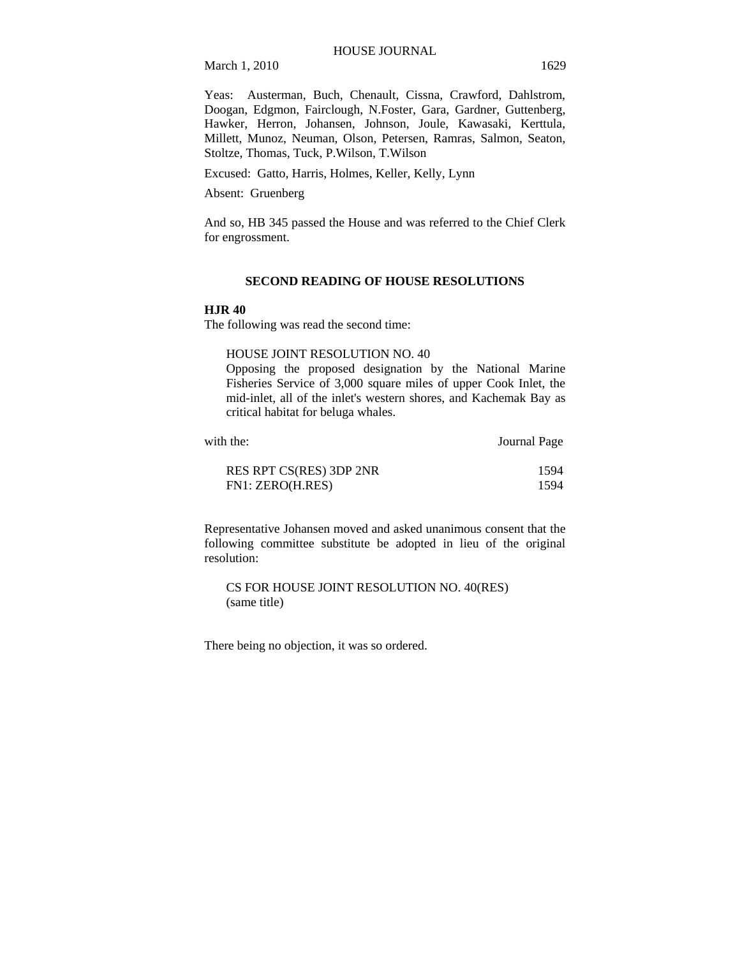Yeas: Austerman, Buch, Chenault, Cissna, Crawford, Dahlstrom, Doogan, Edgmon, Fairclough, N.Foster, Gara, Gardner, Guttenberg, Hawker, Herron, Johansen, Johnson, Joule, Kawasaki, Kerttula, Millett, Munoz, Neuman, Olson, Petersen, Ramras, Salmon, Seaton, Stoltze, Thomas, Tuck, P.Wilson, T.Wilson

Excused: Gatto, Harris, Holmes, Keller, Kelly, Lynn

Absent: Gruenberg

And so, HB 345 passed the House and was referred to the Chief Clerk for engrossment.

#### **SECOND READING OF HOUSE RESOLUTIONS**

#### **HJR 40**

The following was read the second time:

HOUSE JOINT RESOLUTION NO. 40

Opposing the proposed designation by the National Marine Fisheries Service of 3,000 square miles of upper Cook Inlet, the mid-inlet, all of the inlet's western shores, and Kachemak Bay as critical habitat for beluga whales.

| with the:               | Journal Page |
|-------------------------|--------------|
| RES RPT CS(RES) 3DP 2NR | 1594         |
| FN1: ZERO(H.RES)        | 1594         |

Representative Johansen moved and asked unanimous consent that the following committee substitute be adopted in lieu of the original resolution:

CS FOR HOUSE JOINT RESOLUTION NO. 40(RES) (same title)

There being no objection, it was so ordered.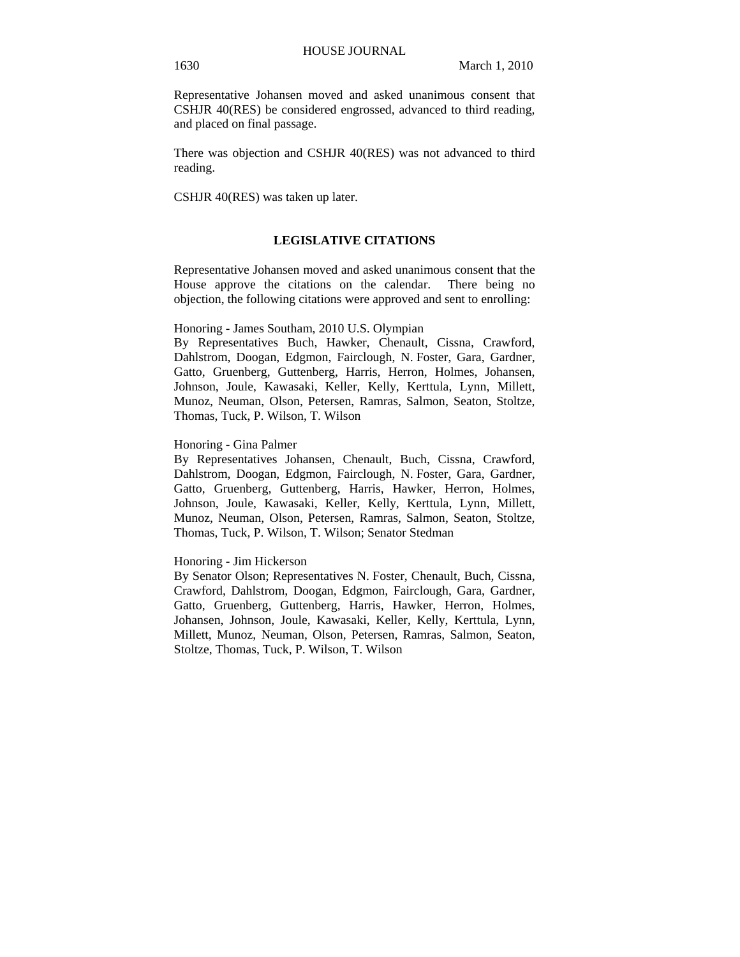Representative Johansen moved and asked unanimous consent that CSHJR 40(RES) be considered engrossed, advanced to third reading, and placed on final passage.

There was objection and CSHJR 40(RES) was not advanced to third reading.

CSHJR 40(RES) was taken up later.

## **LEGISLATIVE CITATIONS**

Representative Johansen moved and asked unanimous consent that the House approve the citations on the calendar. There being no objection, the following citations were approved and sent to enrolling:

#### Honoring - James Southam, 2010 U.S. Olympian

By Representatives Buch, Hawker, Chenault, Cissna, Crawford, Dahlstrom, Doogan, Edgmon, Fairclough, N. Foster, Gara, Gardner, Gatto, Gruenberg, Guttenberg, Harris, Herron, Holmes, Johansen, Johnson, Joule, Kawasaki, Keller, Kelly, Kerttula, Lynn, Millett, Munoz, Neuman, Olson, Petersen, Ramras, Salmon, Seaton, Stoltze, Thomas, Tuck, P. Wilson, T. Wilson

Honoring - Gina Palmer

By Representatives Johansen, Chenault, Buch, Cissna, Crawford, Dahlstrom, Doogan, Edgmon, Fairclough, N. Foster, Gara, Gardner, Gatto, Gruenberg, Guttenberg, Harris, Hawker, Herron, Holmes, Johnson, Joule, Kawasaki, Keller, Kelly, Kerttula, Lynn, Millett, Munoz, Neuman, Olson, Petersen, Ramras, Salmon, Seaton, Stoltze, Thomas, Tuck, P. Wilson, T. Wilson; Senator Stedman

#### Honoring - Jim Hickerson

By Senator Olson; Representatives N. Foster, Chenault, Buch, Cissna, Crawford, Dahlstrom, Doogan, Edgmon, Fairclough, Gara, Gardner, Gatto, Gruenberg, Guttenberg, Harris, Hawker, Herron, Holmes, Johansen, Johnson, Joule, Kawasaki, Keller, Kelly, Kerttula, Lynn, Millett, Munoz, Neuman, Olson, Petersen, Ramras, Salmon, Seaton, Stoltze, Thomas, Tuck, P. Wilson, T. Wilson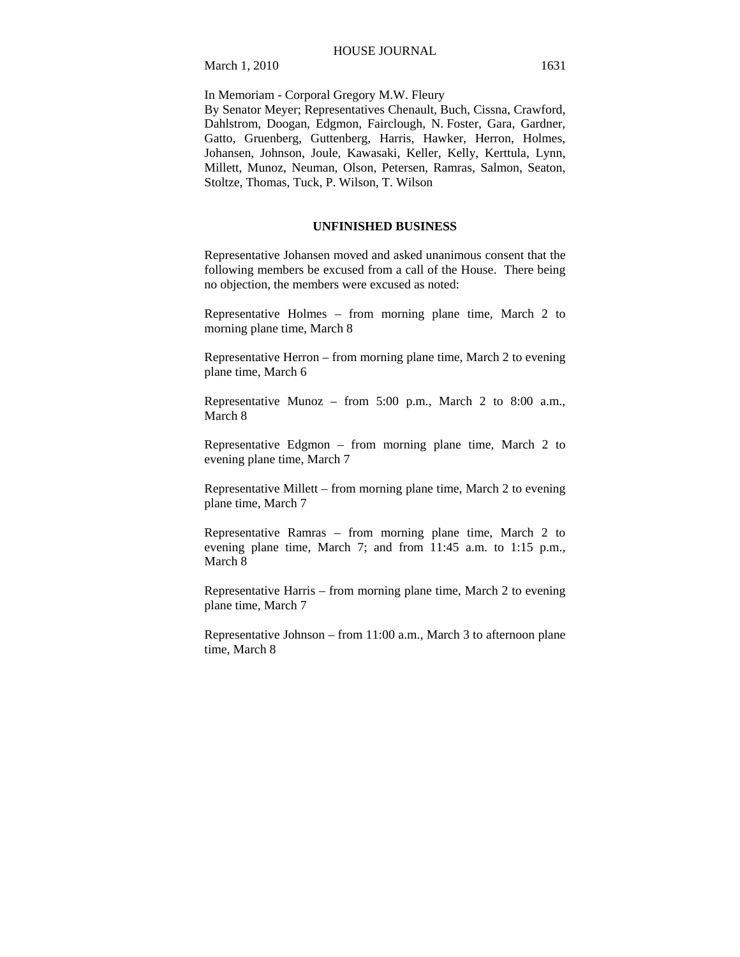In Memoriam - Corporal Gregory M.W. Fleury

By Senator Meyer; Representatives Chenault, Buch, Cissna, Crawford, Dahlstrom, Doogan, Edgmon, Fairclough, N. Foster, Gara, Gardner, Gatto, Gruenberg, Guttenberg, Harris, Hawker, Herron, Holmes, Johansen, Johnson, Joule, Kawasaki, Keller, Kelly, Kerttula, Lynn, Millett, Munoz, Neuman, Olson, Petersen, Ramras, Salmon, Seaton, Stoltze, Thomas, Tuck, P. Wilson, T. Wilson

#### **UNFINISHED BUSINESS**

Representative Johansen moved and asked unanimous consent that the following members be excused from a call of the House. There being no objection, the members were excused as noted:

Representative Holmes – from morning plane time, March 2 to morning plane time, March 8

Representative Herron – from morning plane time, March 2 to evening plane time, March 6

Representative Munoz – from 5:00 p.m., March 2 to 8:00 a.m., March 8

Representative Edgmon – from morning plane time, March 2 to evening plane time, March 7

Representative Millett – from morning plane time, March 2 to evening plane time, March 7

Representative Ramras – from morning plane time, March 2 to evening plane time, March 7; and from 11:45 a.m. to 1:15 p.m., March 8

Representative Harris – from morning plane time, March 2 to evening plane time, March 7

Representative Johnson – from 11:00 a.m., March 3 to afternoon plane time, March 8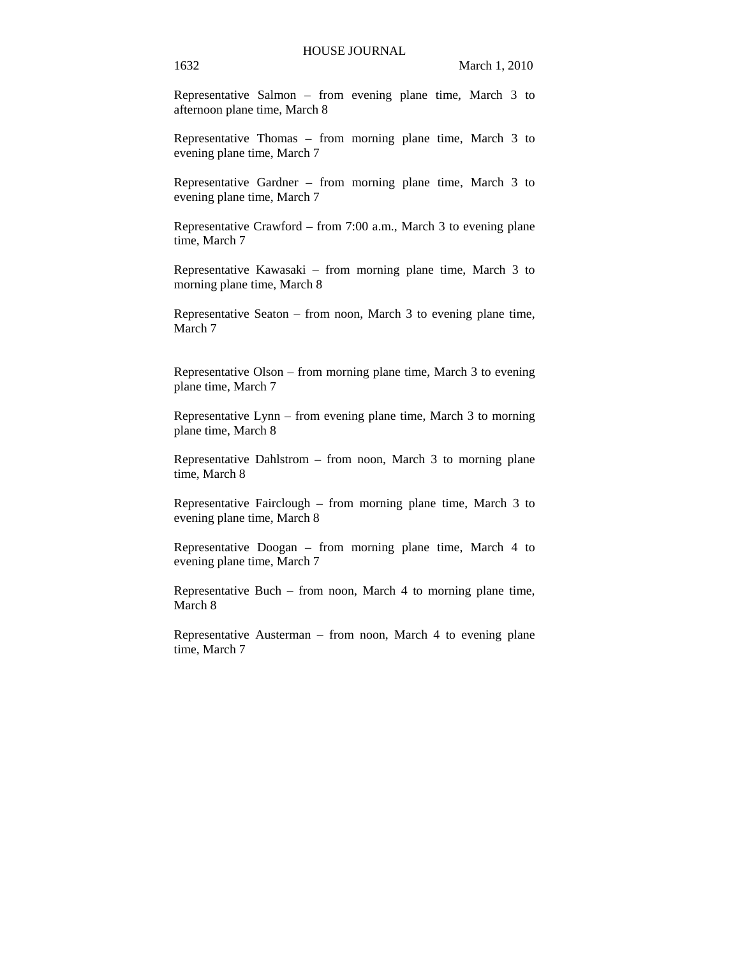Representative Salmon – from evening plane time, March 3 to afternoon plane time, March 8

Representative Thomas – from morning plane time, March 3 to evening plane time, March 7

Representative Gardner – from morning plane time, March 3 to evening plane time, March 7

Representative Crawford – from 7:00 a.m., March 3 to evening plane time, March 7

Representative Kawasaki – from morning plane time, March 3 to morning plane time, March 8

Representative Seaton – from noon, March 3 to evening plane time, March 7

Representative Olson – from morning plane time, March 3 to evening plane time, March 7

Representative Lynn – from evening plane time, March 3 to morning plane time, March 8

Representative Dahlstrom – from noon, March 3 to morning plane time, March 8

Representative Fairclough – from morning plane time, March 3 to evening plane time, March 8

Representative Doogan – from morning plane time, March 4 to evening plane time, March 7

Representative Buch – from noon, March 4 to morning plane time, March 8

Representative Austerman – from noon, March 4 to evening plane time, March 7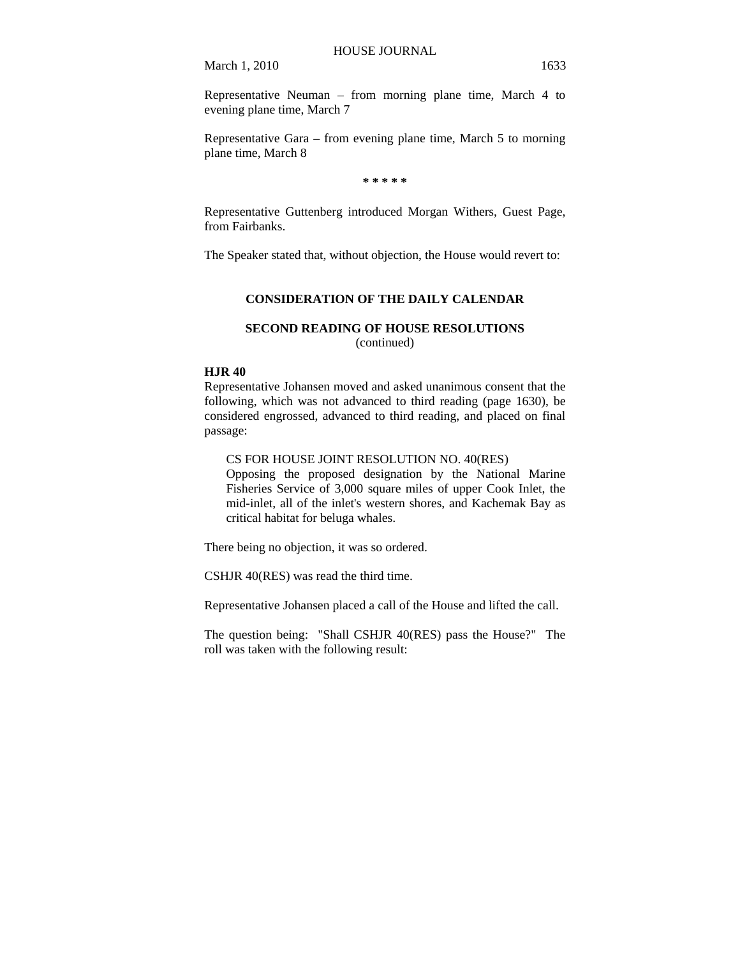Representative Neuman – from morning plane time, March 4 to evening plane time, March 7

Representative Gara – from evening plane time, March 5 to morning plane time, March 8

**\* \* \* \* \*** 

Representative Guttenberg introduced Morgan Withers, Guest Page, from Fairbanks.

The Speaker stated that, without objection, the House would revert to:

## **CONSIDERATION OF THE DAILY CALENDAR**

## **SECOND READING OF HOUSE RESOLUTIONS**  (continued)

## **HJR 40**

Representative Johansen moved and asked unanimous consent that the following, which was not advanced to third reading (page 1630), be considered engrossed, advanced to third reading, and placed on final passage:

CS FOR HOUSE JOINT RESOLUTION NO. 40(RES)

Opposing the proposed designation by the National Marine Fisheries Service of 3,000 square miles of upper Cook Inlet, the mid-inlet, all of the inlet's western shores, and Kachemak Bay as critical habitat for beluga whales.

There being no objection, it was so ordered.

CSHJR 40(RES) was read the third time.

Representative Johansen placed a call of the House and lifted the call.

The question being: "Shall CSHJR 40(RES) pass the House?" The roll was taken with the following result: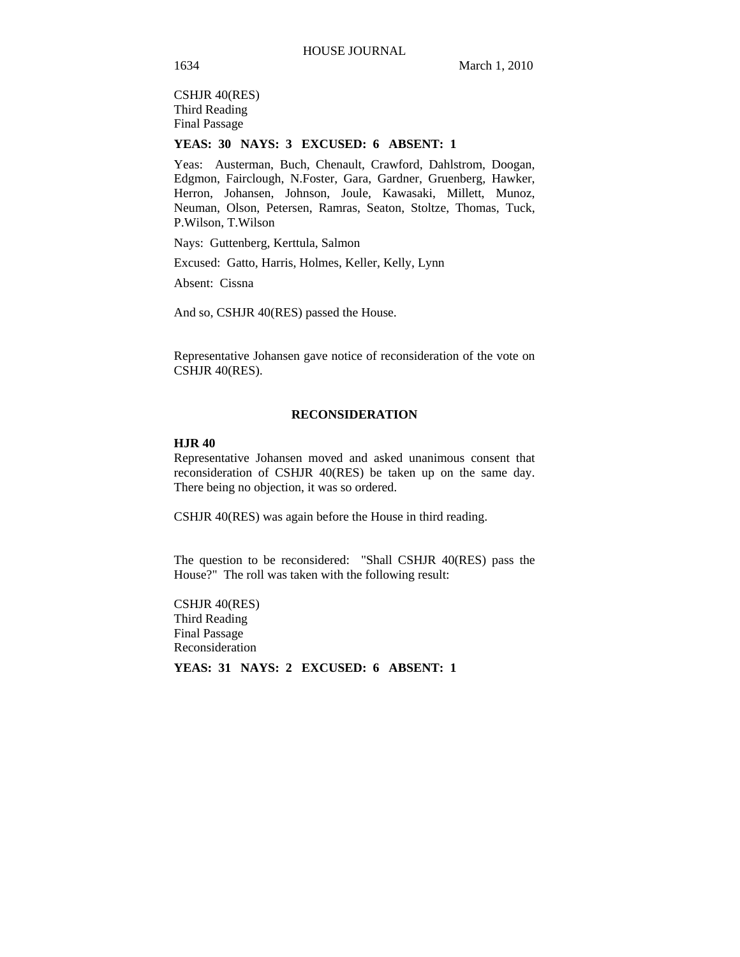CSHJR 40(RES) Third Reading Final Passage

### **YEAS: 30 NAYS: 3 EXCUSED: 6 ABSENT: 1**

Yeas: Austerman, Buch, Chenault, Crawford, Dahlstrom, Doogan, Edgmon, Fairclough, N.Foster, Gara, Gardner, Gruenberg, Hawker, Herron, Johansen, Johnson, Joule, Kawasaki, Millett, Munoz, Neuman, Olson, Petersen, Ramras, Seaton, Stoltze, Thomas, Tuck, P.Wilson, T.Wilson

Nays: Guttenberg, Kerttula, Salmon

Excused: Gatto, Harris, Holmes, Keller, Kelly, Lynn

Absent: Cissna

And so, CSHJR 40(RES) passed the House.

Representative Johansen gave notice of reconsideration of the vote on CSHJR 40(RES).

#### **RECONSIDERATION**

#### **HJR 40**

Representative Johansen moved and asked unanimous consent that reconsideration of CSHJR 40(RES) be taken up on the same day. There being no objection, it was so ordered.

CSHJR 40(RES) was again before the House in third reading.

The question to be reconsidered: "Shall CSHJR 40(RES) pass the House?" The roll was taken with the following result:

CSHJR 40(RES) Third Reading Final Passage Reconsideration

**YEAS: 31 NAYS: 2 EXCUSED: 6 ABSENT: 1**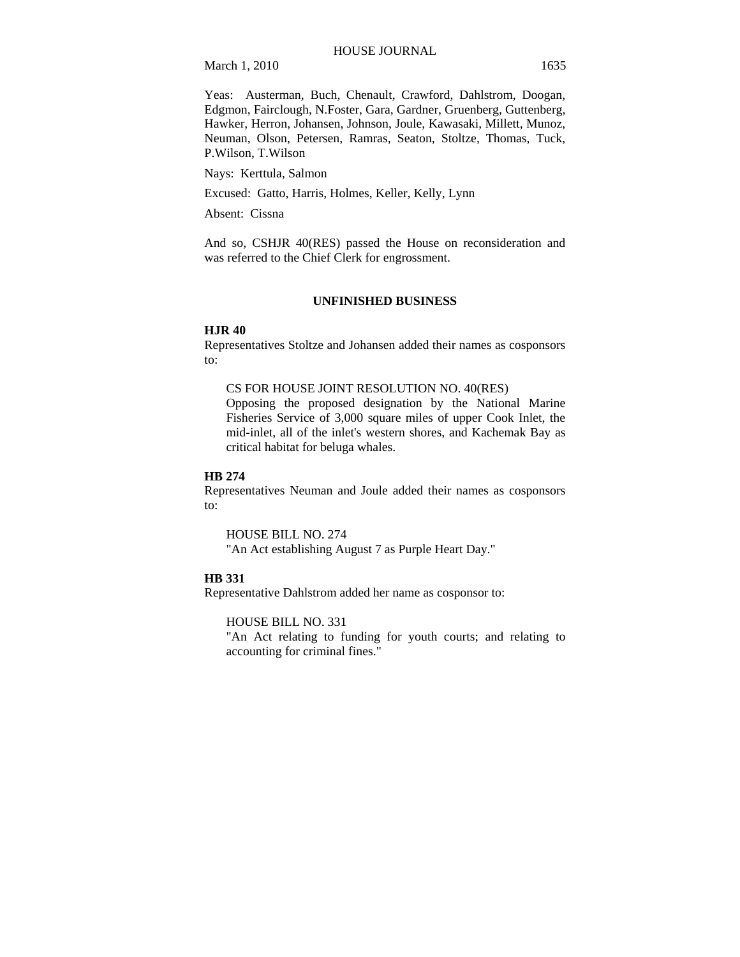Yeas: Austerman, Buch, Chenault, Crawford, Dahlstrom, Doogan, Edgmon, Fairclough, N.Foster, Gara, Gardner, Gruenberg, Guttenberg, Hawker, Herron, Johansen, Johnson, Joule, Kawasaki, Millett, Munoz, Neuman, Olson, Petersen, Ramras, Seaton, Stoltze, Thomas, Tuck, P.Wilson, T.Wilson

Nays: Kerttula, Salmon

Excused: Gatto, Harris, Holmes, Keller, Kelly, Lynn

Absent: Cissna

And so, CSHJR 40(RES) passed the House on reconsideration and was referred to the Chief Clerk for engrossment.

### **UNFINISHED BUSINESS**

#### **HJR 40**

Representatives Stoltze and Johansen added their names as cosponsors to:

#### CS FOR HOUSE JOINT RESOLUTION NO. 40(RES)

Opposing the proposed designation by the National Marine Fisheries Service of 3,000 square miles of upper Cook Inlet, the mid-inlet, all of the inlet's western shores, and Kachemak Bay as critical habitat for beluga whales.

#### **HB 274**

Representatives Neuman and Joule added their names as cosponsors to:

HOUSE BILL NO. 274 "An Act establishing August 7 as Purple Heart Day."

## **HB 331**

Representative Dahlstrom added her name as cosponsor to:

HOUSE BILL NO. 331

"An Act relating to funding for youth courts; and relating to accounting for criminal fines."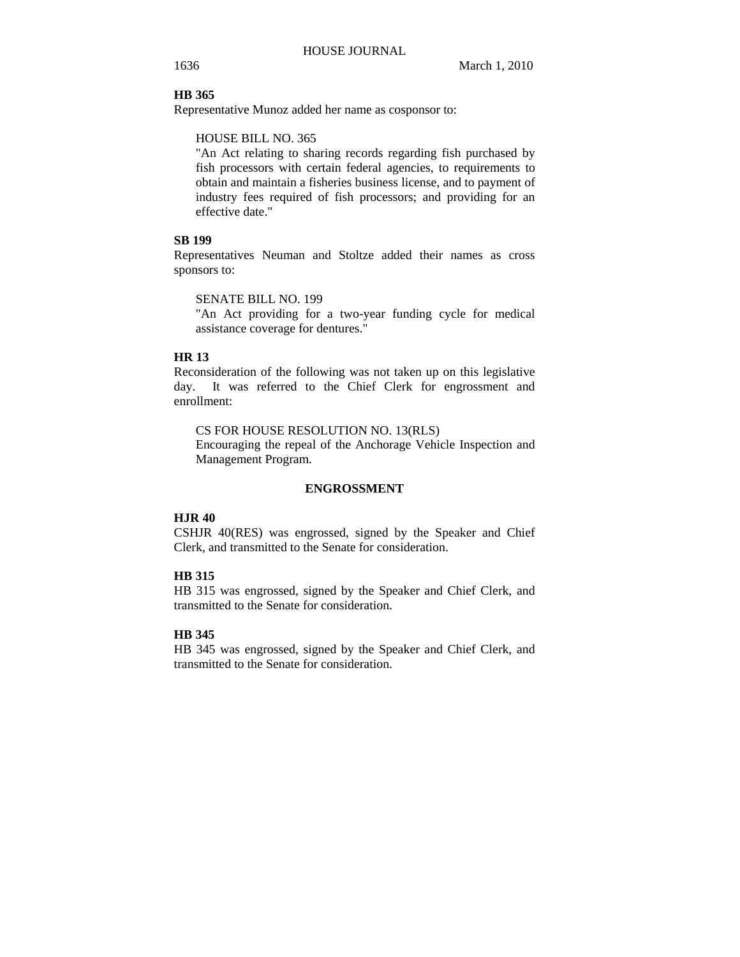### **HB 365**

Representative Munoz added her name as cosponsor to:

## HOUSE BILL NO. 365

"An Act relating to sharing records regarding fish purchased by fish processors with certain federal agencies, to requirements to obtain and maintain a fisheries business license, and to payment of industry fees required of fish processors; and providing for an effective date."

## **SB 199**

Representatives Neuman and Stoltze added their names as cross sponsors to:

SENATE BILL NO. 199

"An Act providing for a two-year funding cycle for medical assistance coverage for dentures."

#### **HR 13**

Reconsideration of the following was not taken up on this legislative day. It was referred to the Chief Clerk for engrossment and enrollment:

CS FOR HOUSE RESOLUTION NO. 13(RLS)

Encouraging the repeal of the Anchorage Vehicle Inspection and Management Program.

#### **ENGROSSMENT**

## **HJR 40**

CSHJR 40(RES) was engrossed, signed by the Speaker and Chief Clerk, and transmitted to the Senate for consideration.

## **HB 315**

HB 315 was engrossed, signed by the Speaker and Chief Clerk, and transmitted to the Senate for consideration.

## **HB 345**

HB 345 was engrossed, signed by the Speaker and Chief Clerk, and transmitted to the Senate for consideration.